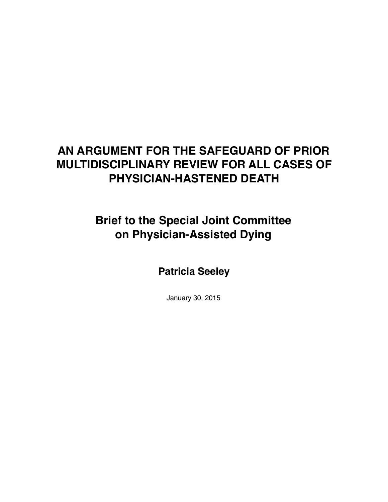# **AN ARGUMENT FOR THE SAFEGUARD OF PRIOR MULTIDISCIPLINARY REVIEW FOR ALL CASES OF PHYSICIAN-HASTENED DEATH**

# **Brief to the Special Joint Committee on Physician-Assisted Dying**

**Patricia Seeley**

January 30, 2015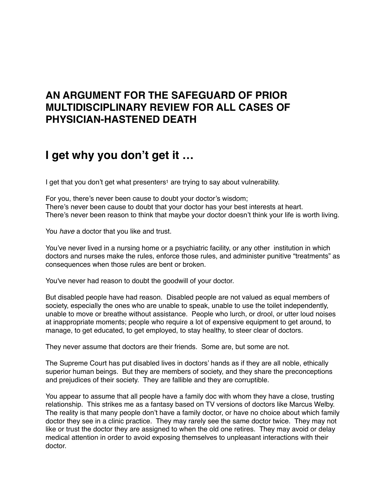#### **AN ARGUMENT FOR THE SAFEGUARD OF PRIOR MULTIDISCIPLINARY REVIEW FOR ALL CASES OF PHYSICIAN-HASTENED DEATH**

## **I get why you don't get it …**

<span id="page-1-0"></span>I get that you don't get what presenters<sup>1</sup> are trying to say about vulnerability.

For you, there's never been cause to doubt your doctor's wisdom; There's never been cause to doubt that your doctor has your best interests at heart. There's never been reason to think that maybe your doctor doesn't think your life is worth living.

You *have* a doctor that you like and trust.

You've never lived in a nursing home or a psychiatric facility, or any other institution in which doctors and nurses make the rules, enforce those rules, and administer punitive "treatments" as consequences when those rules are bent or broken.

You've never had reason to doubt the goodwill of your doctor.

But disabled people have had reason. Disabled people are not valued as equal members of society, especially the ones who are unable to speak, unable to use the toilet independently, unable to move or breathe without assistance. People who lurch, or drool, or utter loud noises at inappropriate moments; people who require a lot of expensive equipment to get around, to manage, to get educated, to get employed, to stay healthy, to steer clear of doctors.

They never assume that doctors are their friends. Some are, but some are not.

The Supreme Court has put disabled lives in doctors' hands as if they are all noble, ethically superior human beings. But they are members of society, and they share the preconceptions and prejudices of their society. They are fallible and they are corruptible.

You appear to assume that all people have a family doc with whom they have a close, trusting relationship. This strikes me as a fantasy based on TV versions of doctors like Marcus Welby. The reality is that many people don't have a family doctor, or have no choice about which family doctor they see in a clinic practice. They may rarely see the same doctor twice. They may not like or trust the doctor they are assigned to when the old one retires. They may avoid or delay medical attention in order to avoid exposing themselves to unpleasant interactions with their doctor.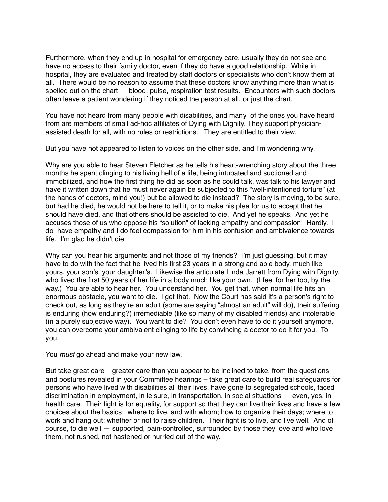Furthermore, when they end up in hospital for emergency care, usually they do not see and have no access to their family doctor, even if they do have a good relationship. While in hospital, they are evaluated and treated by staff doctors or specialists who don't know them at all. There would be no reason to assume that these doctors know anything more than what is spelled out on the chart — blood, pulse, respiration test results. Encounters with such doctors often leave a patient wondering if they noticed the person at all, or just the chart.

You have not heard from many people with disabilities, and many of the ones you have heard from are members of small ad-hoc affiliates of Dying with Dignity. They support physicianassisted death for all, with no rules or restrictions. They are entitled to their view.

But you have not appeared to listen to voices on the other side, and I'm wondering why.

Why are you able to hear Steven Fletcher as he tells his heart-wrenching story about the three months he spent clinging to his living hell of a life, being intubated and suctioned and immobilized, and how the first thing he did as soon as he could talk, was talk to his lawyer and have it written down that he must never again be subjected to this "well-intentioned torture" (at the hands of doctors, mind you!) but be allowed to die instead? The story is moving, to be sure, but had he died, he would not be here to tell it, or to make his plea for us to accept that he should have died, and that others should be assisted to die. And yet he speaks. And yet he accuses those of us who oppose his "solution" of lacking empathy and compassion! Hardly. I do have empathy and I do feel compassion for him in his confusion and ambivalence towards life. I'm glad he didn't die.

Why can you hear his arguments and not those of my friends? I'm just guessing, but it may have to do with the fact that he lived his first 23 years in a strong and able body, much like yours, your son's, your daughter's. Likewise the articulate Linda Jarrett from Dying with Dignity, who lived the first 50 years of her life in a body much like your own. (I feel for her too, by the way.) You are able to hear her. You understand her. You get that, when normal life hits an enormous obstacle, you want to die. I get that. Now the Court has said it's a person's right to check out, as long as they're an adult (some are saying "almost an adult" will do), their suffering is enduring (how enduring?) irremediable (like so many of my disabled friends) and intolerable (in a purely subjective way). You want to die? You don't even have to do it yourself anymore, you can overcome your ambivalent clinging to life by convincing a doctor to do it for you. To you.

You *must* go ahead and make your new law.

But take great care – greater care than you appear to be inclined to take, from the questions and postures revealed in your Committee hearings – take great care to build real safeguards for persons who have lived with disabilities all their lives, have gone to segregated schools, faced discrimination in employment, in leisure, in transportation, in social situations — even, yes, in health care. Their fight is for equality, for support so that they can live their lives and have a few choices about the basics: where to live, and with whom; how to organize their days; where to work and hang out; whether or not to raise children. Their fight is to live, and live well. And of course, to die well — supported, pain-controlled, surrounded by those they love and who love them, not rushed, not hastened or hurried out of the way.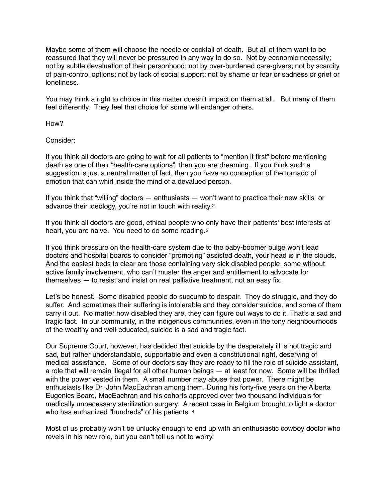Maybe some of them will choose the needle or cocktail of death. But all of them want to be reassured that they will never be pressured in any way to do so. Not by economic necessity; not by subtle devaluation of their personhood; not by over-burdened care-givers; not by scarcity of pain-control options; not by lack of social support; not by shame or fear or sadness or grief or loneliness.

You may think a right to choice in this matter doesn't impact on them at all. But many of them feel differently. They feel that choice for some will endanger others.

How?

Consider:

If you think all doctors are going to wait for all patients to "mention it first" before mentioning death as one of their "health-care options", then you are dreaming. If you think such a suggestion is just a neutral matter of fact, then you have no conception of the tornado of emotion that can whirl inside the mind of a devalued person.

<span id="page-3-0"></span>If you think that "willing" doctors — enthusiasts — won't want to practice their new skills or advance their ideology, you're not in touch with reality.[2](#page-5-1) 

If you think all doctors are good, ethical people who only have their patients' best interests at heart, you are naive. You need to do some reading.[3](#page-5-2) 

<span id="page-3-1"></span>If you think pressure on the health-care system due to the baby-boomer bulge won't lead doctors and hospital boards to consider "promoting" assisted death, your head is in the clouds. And the easiest beds to clear are those containing very sick disabled people, some without active family involvement, who can't muster the anger and entitlement to advocate for themselves — to resist and insist on real palliative treatment, not an easy fix.

Let's be honest. Some disabled people do succumb to despair. They do struggle, and they do suffer. And sometimes their suffering is intolerable and they consider suicide, and some of them carry it out. No matter how disabled they are, they can figure out ways to do it. That's a sad and tragic fact. In our community, in the indigenous communities, even in the tony neighbourhoods of the wealthy and well-educated, suicide is a sad and tragic fact.

Our Supreme Court, however, has decided that suicide by the desperately ill is not tragic and sad, but rather understandable, supportable and even a constitutional right, deserving of medical assistance. Some of our doctors say they are ready to fill the role of suicide assistant, a role that will remain illegal for all other human beings — at least for now. Some will be thrilled with the power vested in them. A small number may abuse that power. There might be enthusiasts like Dr. John MacEachran among them. During his forty-five years on the Alberta Eugenics Board, MacEachran and his cohorts approved over two thousand individuals for medically unnecessary sterilization surgery. A recent case in Belgium brought to light a doctor who has euthanized "hundreds" of his patients. [4](#page-5-3)

<span id="page-3-2"></span>Most of us probably won't be unlucky enough to end up with an enthusiastic cowboy doctor who revels in his new role, but you can't tell us not to worry.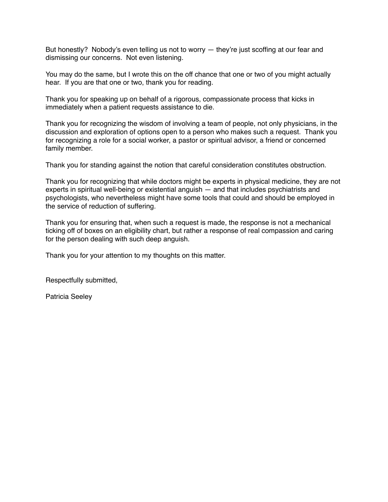But honestly? Nobody's even telling us not to worry — they're just scoffing at our fear and dismissing our concerns. Not even listening.

You may do the same, but I wrote this on the off chance that one or two of you might actually hear. If you are that one or two, thank you for reading.

Thank you for speaking up on behalf of a rigorous, compassionate process that kicks in immediately when a patient requests assistance to die.

Thank you for recognizing the wisdom of involving a team of people, not only physicians, in the discussion and exploration of options open to a person who makes such a request. Thank you for recognizing a role for a social worker, a pastor or spiritual advisor, a friend or concerned family member.

Thank you for standing against the notion that careful consideration constitutes obstruction.

Thank you for recognizing that while doctors might be experts in physical medicine, they are not experts in spiritual well-being or existential anguish — and that includes psychiatrists and psychologists, who nevertheless might have some tools that could and should be employed in the service of reduction of suffering.

Thank you for ensuring that, when such a request is made, the response is not a mechanical ticking off of boxes on an eligibility chart, but rather a response of real compassion and caring for the person dealing with such deep anguish.

Thank you for your attention to my thoughts on this matter.

Respectfully submitted,

Patricia Seeley